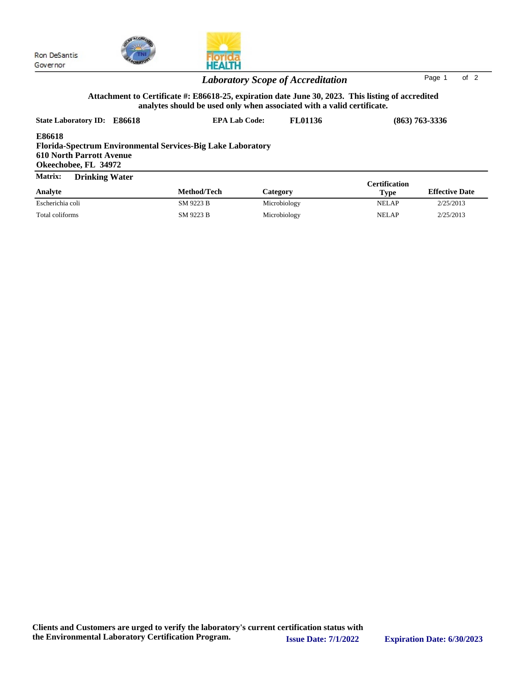

|                                                                                                                                         | <b>Laboratory Scope of Accreditation</b>                                                                                                                                    |                | of $2$<br>Page 1   |  |
|-----------------------------------------------------------------------------------------------------------------------------------------|-----------------------------------------------------------------------------------------------------------------------------------------------------------------------------|----------------|--------------------|--|
|                                                                                                                                         | Attachment to Certificate #: E86618-25, expiration date June 30, 2023. This listing of accredited<br>analytes should be used only when associated with a valid certificate. |                |                    |  |
| State Laboratory ID: E86618                                                                                                             | <b>EPA Lab Code:</b>                                                                                                                                                        | <b>FL01136</b> | $(863) 763 - 3336$ |  |
| <b>E86618</b><br>Florida-Spectrum Environmental Services-Big Lake Laboratory<br><b>610 North Parrott Avenue</b><br>Okeechobee, FL 34972 |                                                                                                                                                                             |                |                    |  |
| <b>Matrix:</b><br><b>Drinking Water</b>                                                                                                 |                                                                                                                                                                             |                | Certification      |  |

**HEALTH** 

|                  |             |                 | <b>Certification</b> |                       |
|------------------|-------------|-----------------|----------------------|-----------------------|
| Analyte          | Method/Tech | <b>Category</b> | <b>Type</b>          | <b>Effective Date</b> |
| Escherichia coli | SM 9223 B   | Microbiology    | NELAP                | 2/25/2013             |
| Total coliforms  | SM 9223 B   | Microbiology    | <b>NELAP</b>         | 2/25/2013             |